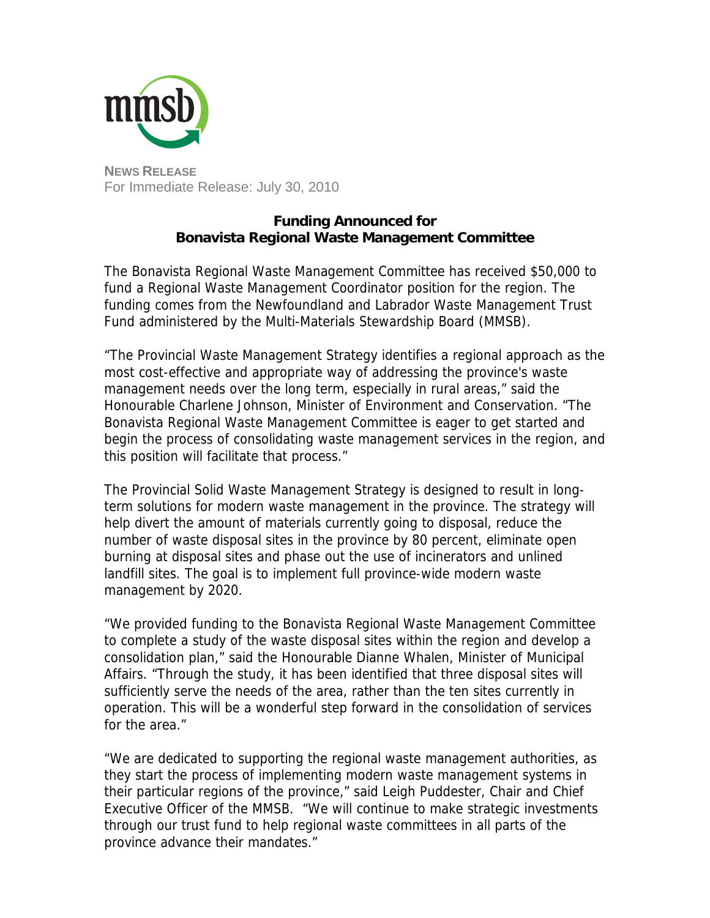

For Immediate Release: July 30, 2010

## **Funding Announced for Bonavista Regional Waste Management Committee**

The Bonavista Regional Waste Management Committee has received \$50,000 to fund a Regional Waste Management Coordinator position for the region. The funding comes from the Newfoundland and Labrador Waste Management Trust Fund administered by the Multi-Materials Stewardship Board (MMSB).

"The Provincial Waste Management Strategy identifies a regional approach as the most cost-effective and appropriate way of addressing the province's waste management needs over the long term, especially in rural areas," said the Honourable Charlene Johnson, Minister of Environment and Conservation. "The Bonavista Regional Waste Management Committee is eager to get started and begin the process of consolidating waste management services in the region, and this position will facilitate that process."

The Provincial Solid Waste Management Strategy is designed to result in longterm solutions for modern waste management in the province. The strategy will help divert the amount of materials currently going to disposal, reduce the number of waste disposal sites in the province by 80 percent, eliminate open burning at disposal sites and phase out the use of incinerators and unlined landfill sites. The goal is to implement full province-wide modern waste management by 2020.

"We provided funding to the Bonavista Regional Waste Management Committee to complete a study of the waste disposal sites within the region and develop a consolidation plan," said the Honourable Dianne Whalen, Minister of Municipal Affairs. "Through the study, it has been identified that three disposal sites will sufficiently serve the needs of the area, rather than the ten sites currently in operation. This will be a wonderful step forward in the consolidation of services for the area."

"We are dedicated to supporting the regional waste management authorities, as they start the process of implementing modern waste management systems in their particular regions of the province," said Leigh Puddester, Chair and Chief Executive Officer of the MMSB. "We will continue to make strategic investments through our trust fund to help regional waste committees in all parts of the province advance their mandates."